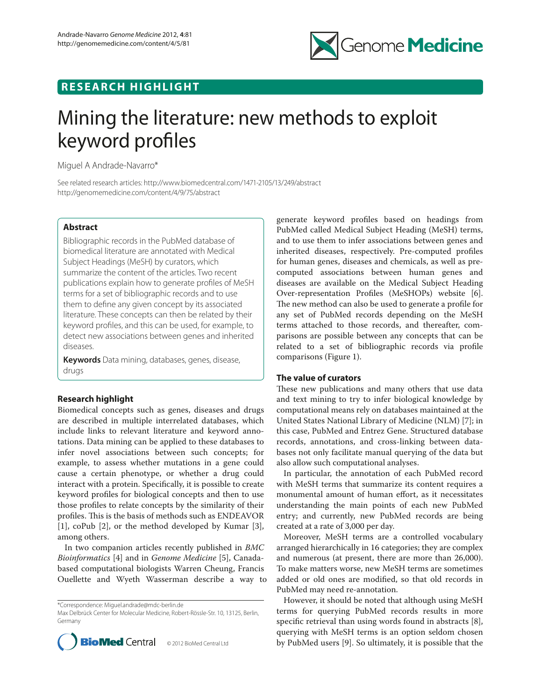

# **RESEARCH HIGHLIGHT**

# Mining the literature: new methods to exploit keyword profiles

Miguel A Andrade-Navarro\*

See related research articles: http://www.biomedcentral.com/1471-2105/13/249/abstract http://genomemedicine.com/content/4/9/75/abstract

# **Abstract**

Bibliographic records in the PubMed database of biomedical literature are annotated with Medical Subject Headings (MeSH) by curators, which summarize the content of the articles. Two recent publications explain how to generate profiles of MeSH terms for a set of bibliographic records and to use them to define any given concept by its associated literature. These concepts can then be related by their keyword profiles, and this can be used, for example, to detect new associations between genes and inherited diseases.

**Keywords** Data mining, databases, genes, disease, drugs

# **Research highlight**

Biomedical concepts such as genes, diseases and drugs are described in multiple interrelated databases, which include links to relevant literature and keyword annotations. Data mining can be applied to these databases to infer novel associations between such concepts; for example, to assess whether mutations in a gene could cause a certain phenotype, or whether a drug could interact with a protein. Specifically, it is possible to create keyword profiles for biological concepts and then to use those profiles to relate concepts by the similarity of their profiles. This is the basis of methods such as ENDEAVOR [1], coPub [2], or the method developed by Kumar [3], among others.

In two companion articles recently published in *BMC Bioinformatics* [4] and in *Genome Medicine* [5], Canadabased computational biologists Warren Cheung, Francis Ouellette and Wyeth Wasserman describe a way to

\*Correspondence: Miguel.andrade@mdc-berlin.de

Max Delbrück Center for Molecular Medicine, Robert-Rössle-Str. 10, 13125, Berlin, Germany



generate keyword profiles based on headings from PubMed called Medical Subject Heading (MeSH) terms, and to use them to infer associations between genes and inherited diseases, respectively. Pre-computed profiles for human genes, diseases and chemicals, as well as precomputed associations between human genes and diseases are available on the Medical Subject Heading Over-representation Profiles (MeSHOPs) website [6]. The new method can also be used to generate a profile for any set of PubMed records depending on the MeSH terms attached to those records, and thereafter, comparisons are possible between any concepts that can be related to a set of bibliographic records via profile comparisons (Figure 1).

## **The value of curators**

These new publications and many others that use data and text mining to try to infer biological knowledge by computational means rely on databases maintained at the United States National Library of Medicine (NLM) [7]; in this case, PubMed and Entrez Gene. Structured database records, annotations, and cross-linking between databases not only facilitate manual querying of the data but also allow such computational analyses.

In particular, the annotation of each PubMed record with MeSH terms that summarize its content requires a monumental amount of human effort, as it necessitates understanding the main points of each new PubMed entry; and currently, new PubMed records are being created at a rate of 3,000 per day.

Moreover, MeSH terms are a controlled vocabulary arranged hierarchically in 16 categories; they are complex and numerous (at present, there are more than 26,000). To make matters worse, new MeSH terms are sometimes added or old ones are modified, so that old records in PubMed may need re-annotation.

However, it should be noted that although using MeSH terms for querying PubMed records results in more specific retrieval than using words found in abstracts  $[8]$ , querying with MeSH terms is an option seldom chosen by PubMed users [9]. So ultimately, it is possible that the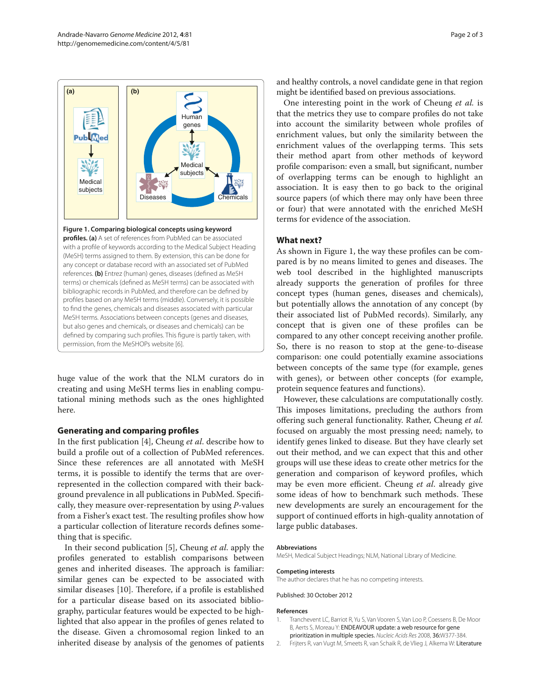

**Figure 1. Comparing biological concepts using keyword profiles. (a)** A set of references from PubMed can be associated with a profile of keywords according to the Medical Subject Heading (MeSH) terms assigned to them. By extension, this can be done for any concept or database record with an associated set of PubMed references. (b) Entrez (human) genes, diseases (defined as MeSH terms) or chemicals (defined as MeSH terms) can be associated with bibliographic records in PubMed, and therefore can be defined by profiles based on any MeSH terms (middle). Conversely, it is possible to find the genes, chemicals and diseases associated with particular MeSH terms. Associations between concepts (genes and diseases, but also genes and chemicals, or diseases and chemicals) can be defined by comparing such profiles. This figure is partly taken, with permission, from the MeSHOPs website [6].

huge value of the work that the NLM curators do in creating and using MeSH terms lies in enabling computational mining methods such as the ones highlighted here.

## **Generating and comparing profiles**

In the first publication [4], Cheung *et al.* describe how to build a profile out of a collection of PubMed references. Since these references are all annotated with MeSH terms, it is possible to identify the terms that are overrepresented in the collection compared with their background prevalence in all publications in PubMed. Specifi cally, they measure over-representation by using *P*-values from a Fisher's exact test. The resulting profiles show how a particular collection of literature records defines something that is specific.

In their second publication [5], Cheung *et al*. apply the profiles generated to establish comparisons between genes and inherited diseases. The approach is familiar: similar genes can be expected to be associated with similar diseases [10]. Therefore, if a profile is established for a particular disease based on its associated bibliography, particular features would be expected to be highlighted that also appear in the profiles of genes related to the disease. Given a chromosomal region linked to an inherited disease by analysis of the genomes of patients and healthy controls, a novel candidate gene in that region might be identified based on previous associations.

One interesting point in the work of Cheung *et al.* is that the metrics they use to compare profiles do not take into account the similarity between whole profiles of enrichment values, but only the similarity between the enrichment values of the overlapping terms. This sets their method apart from other methods of keyword profile comparison: even a small, but significant, number of overlapping terms can be enough to highlight an association. It is easy then to go back to the original source papers (of which there may only have been three or four) that were annotated with the enriched MeSH terms for evidence of the association.

#### **What next?**

As shown in Figure 1, the way these profiles can be compared is by no means limited to genes and diseases. The web tool described in the highlighted manuscripts already supports the generation of profiles for three concept types (human genes, diseases and chemicals), but potentially allows the annotation of any concept (by their associated list of PubMed records). Similarly, any concept that is given one of these profiles can be compared to any other concept receiving another profile. So, there is no reason to stop at the gene-to-disease comparison: one could potentially examine associations between concepts of the same type (for example, genes with genes), or between other concepts (for example, protein sequence features and functions).

However, these calculations are computationally costly. This imposes limitations, precluding the authors from offering such general functionality. Rather, Cheung et al. focused on arguably the most pressing need; namely, to identify genes linked to disease. But they have clearly set out their method, and we can expect that this and other groups will use these ideas to create other metrics for the generation and comparison of keyword profiles, which may be even more efficient. Cheung et al. already give some ideas of how to benchmark such methods. These new developments are surely an encouragement for the support of continued efforts in high-quality annotation of large public databases.

#### **Abbreviations**

MeSH, Medical Subject Headings; NLM, National Library of Medicine.

#### **Competing interests**

The author declares that he has no competing interests.

Published: 30 October 2012

#### **References**

- 1. Tranchevent LC, Barriot R, Yu S, Van Vooren S, Van Loo P, Coessens B, De Moor B, Aerts S, Moreau Y: ENDEAVOUR update: a web resource for gene prioritization in multiple species. *Nucleic Acids Res* 2008, 36:W377-384.
- 2. Frijters R, van Vugt M, Smeets R, van Schaik R, de Vlieg J, Alkema W: Literature